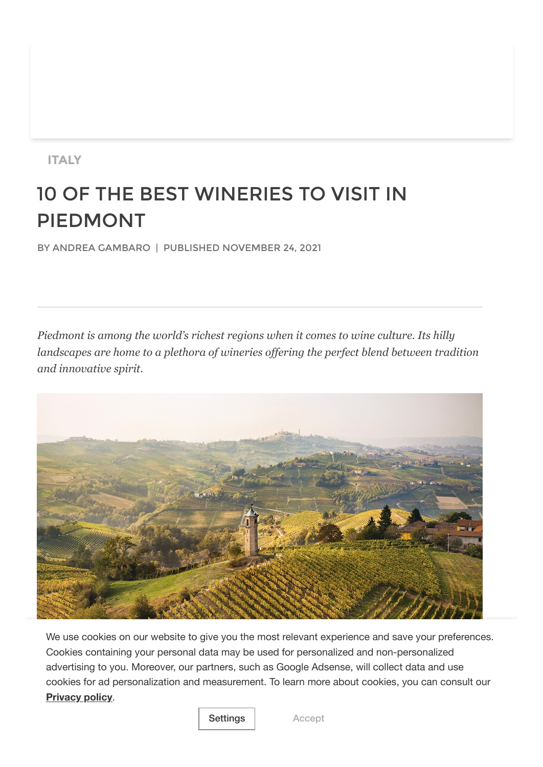# **ITALY**

# 10 OF THE BEST WINERIES TO VISIT IN PIEDMONT

BY ANDREA GAMBARO | PUBLISHED NOVEMBER 24, 2021

*Piedmont is among the world's richest regions when it comes to wine culture. Its hilly landscapes are home to a plethora of wineries offering the perfect blend between tradition and innovative spirit.*



M[ichele Chiarlo's 'Ni](https://www.travelmag.com/privacy-policy/)vole' vineyards (Photo: Andrea Pesce, courtesy of Michele Chiarlo) **Privacy policy**. We use cookies on our website to give you the most relevant experience and save your preferences. Cookies containing your personal data may be used for personalized and non-personalized advertising to you. Moreover, our partners, such as Google Adsense, will collect data and use cookies for ad personalization and measurement. To learn more about cookies, you can consult our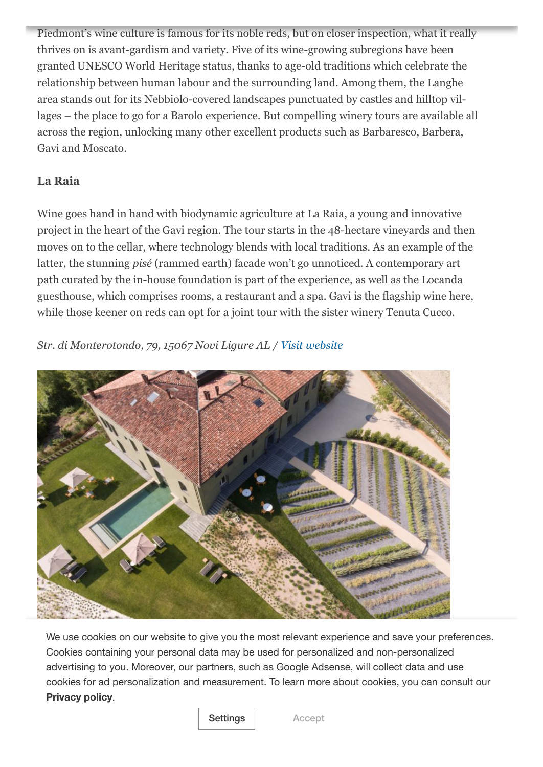Piedmont's wine culture is famous for its noble reds, but on closer inspection, what it really thrives on is avant-gardism and variety. Five of its wine-growing subregions have been granted UNESCO World Heritage status, thanks to age-old traditions which celebrate the relationship between human labour and the surrounding land. Among them, the Langhe area stands out for its Nebbiolo-covered landscapes punctuated by castles and hilltop villages – the place to go for a Barolo experience. But compelling winery tours are available all across the region, unlocking many other excellent products such as Barbaresco, Barbera, Gavi and Moscato.

# **La Raia**

Wine goes hand in hand with biodynamic agriculture at La Raia, a young and innovative project in the heart of the Gavi region. The tour starts in the 48-hectare vineyards and then moves on to the cellar, where technology blends with local traditions. As an example of the latter, the stunning *pisé* (rammed earth) facade won't go unnoticed. A contemporary art path curated by the in-house foundation is part of the experience, as well as the Locanda guesthouse, which comprises rooms, a restaurant and a spa. Gavi is the flagship wine here, while those keener on reds can opt for a joint tour with the sister winery Tenuta Cucco.

*Str. di Monterotondo, 79, 15067 Novi Ligure AL / [Visit website](https://www.la-raia.it/en)*



**[Privacy](https://www.travelmag.com/privacy-policy/) policy.** We use cookies on our website to give you the most relevant experience and save your preferences. Cookies containing your personal data may be used for personalized and non-personalized advertising to you. Moreover, our partners, such as Google Adsense, will collect data and use cookies for ad personalization and measurement. To learn more about cookies, you can consult our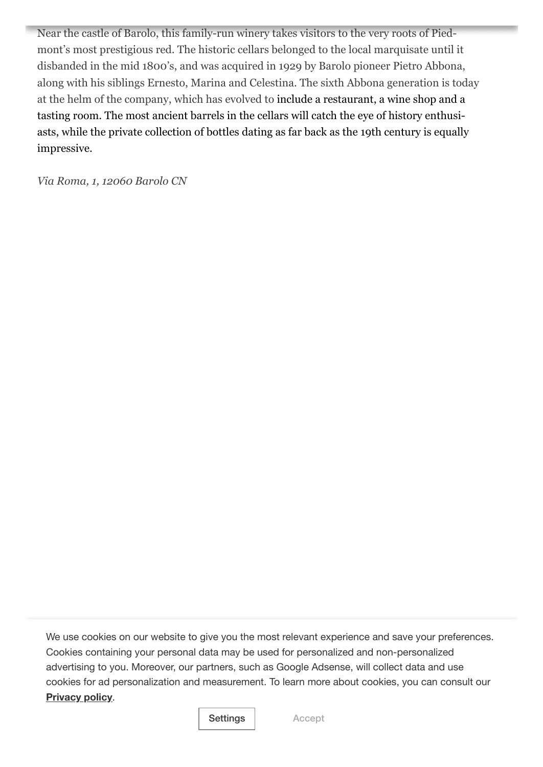Near the castle of Barolo, this family-run winery takes visitors to the very roots of Piedmont's most prestigious red. The historic cellars belonged to the local marquisate until it disbanded in the mid 1800's, and was acquired in 1929 by Barolo pioneer Pietro Abbona, along with his siblings Ernesto, Marina and Celestina. The sixth Abbona generation is today at the helm of the company, which has evolved to include a restaurant, a wine shop and a tasting room. The most ancient barrels in the cellars will catch the eye of history enthusiasts, while the private collection of bottles dating as far back as the 19th century is equally impressive.

*Via Roma, 1, 12060 Barolo CN*

We use cookies on our website to give you the most relevant experience and save your preferences. **Elvidson**<br>
advertising to you. Moreover, our partners, such as Google Adsense, will collect data and use **Privacy policy**. Cookies containing your personal data may be used for personalized and non-personalized cookies for ad personalization and measurement. To learn more about cookies, you can consult our

#### of November  $\overline{\phantom{a}}$  found took his first steps as a winemaker to supply the family res-Settings | Accept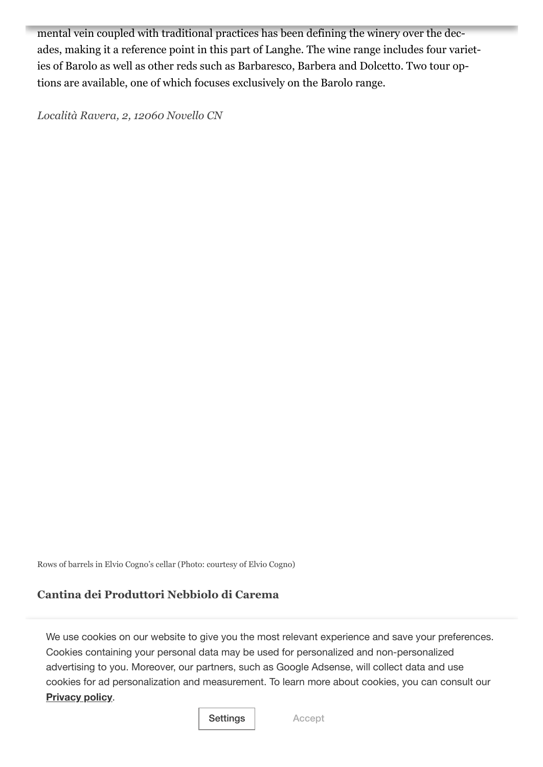mental vein coupled with traditional practices has been defining the winery over the decades, making it a reference point in this part of Langhe. The wine range includes four varieties of Barolo as well as other reds such as Barbaresco, Barbera and Dolcetto. Two tour options are available, one of which focuses exclusively on the Barolo range.

*Località Ravera, 2, 12060 Novello CN*

Rows of barrels in Elvio Cogno's cellar (Photo: courtesy of Elvio Cogno)

# **Cantina dei Produttori Nebbiolo di Carema**

Lending its name to a Nebbiolo wine once popular with popes and royals, the village of We use cookies on our website to give you the most relevant experience and save your preferences.<br>Contribution in the most relationship of the most relationship of the most relationship of the most relationsh advertising to you. Moreover, our partners, such as Google Adsense, will collect data and use cookies for ad personalization and measurement. To learn more about cookies, you can consult our **c[enturies-old gr](https://www.travelmag.com/privacy-policy/)owing culture. Around a hundred producers are today members, and their producers are today members, and their producers are today members, and their producers are today members, and their producers are to** Cookies containing your personal data may be used for personalized and non-personalized

#### communal cellar is open to visits by appointment. Carema and Carema Riserva are the wines to look out for in a tasting session. Settings | Accept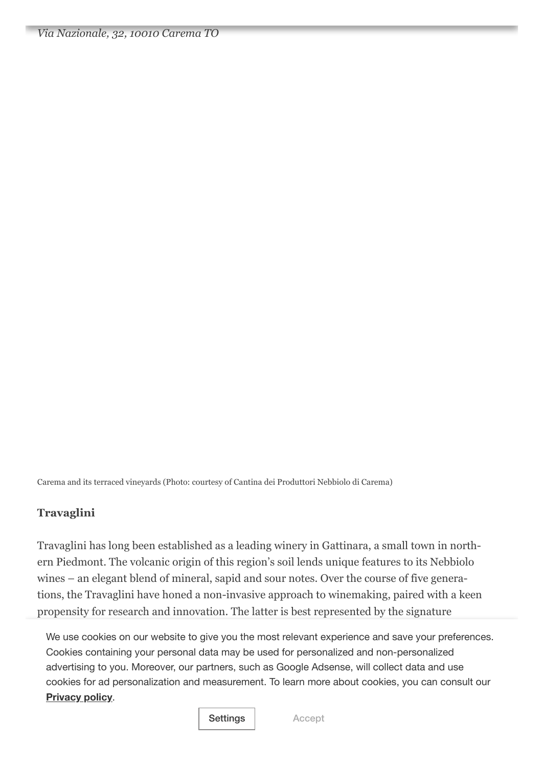Carema and its terraced vineyards (Photo: courtesy of Cantina dei Produttori Nebbiolo di Carema)

# **Travaglini**

Travaglini has long been established as a leading winery in Gattinara, a small town in northern Piedmont. The volcanic origin of this region's soil lends unique features to its Nebbiolo wines – an elegant blend of mineral, sapid and sour notes. Over the course of five generations, the Travaglini have honed a non-invasive approach to winemaking, paired with a keen propensity for research and innovation. The latter is best represented by the signature

'crooked bottle', originally designed in 1958. Visitors can choose from wine experiences that the experiences almost feel tailor-made, with five different options available. Cookies containing your personal data may be used for personalized and non-personalized *Via delle Vigne, 36, 13045 Gattinara VC* cookies for ad personalization and measurement. To learn more about cookies, you can consult our We use cookies on our website to give you the most relevant experience and save your preferences. advertising to you. Moreover, our partners, such as Google Adsense, will collect data and use **[Privacy](https://www.travelmag.com/privacy-policy/) policy**.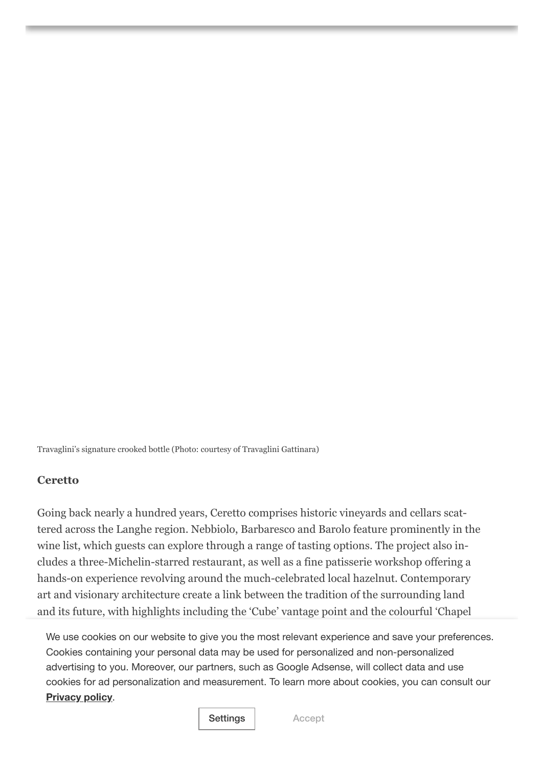Travaglini's signature crooked bottle (Photo: courtesy of Travaglini Gattinara)

## **Ceretto**

Going back nearly a hundred years, Ceretto comprises historic vineyards and cellars scattered across the Langhe region. Nebbiolo, Barbaresco and Barolo feature prominently in the wine list, which guests can explore through a range of tasting options. The project also includes a three-Michelin-starred restaurant, as well as a fine patisserie workshop offering a hands-on experience revolving around the much-celebrated local hazelnut. Contemporary art and visionary architecture create a link between the tradition of the surrounding land and its future, with highlights including the 'Cube' vantage point and the colourful 'Chapel

of Barolo'. advertising to you. Moreover, our partners, such as Google Adsense, will collect data and use We use cookies on our website to give you the most relevant experience and save your preferences. Cookies containing your personal data may be used for personalized and non-personalized cookies for ad personalization and measurement. To learn more about cookies, you can consult our **[Privacy](https://www.travelmag.com/privacy-policy/) policy**.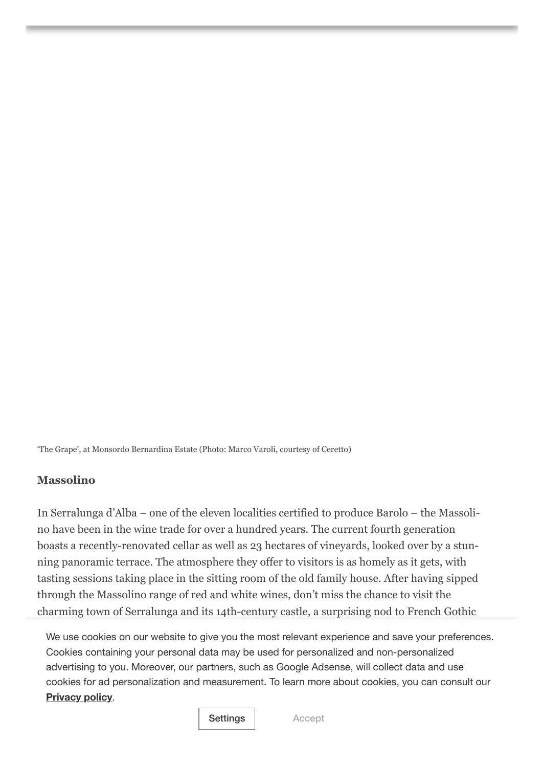'The Grape', at Monsordo Bernardina Estate (Photo: Marco Varoli, courtesy of Ceretto)

# **Massolino**

In Serralunga d'Alba – one of the eleven localities certified to produce Barolo – the Massolino have been in the wine trade for over a hundred years. The current fourth generation boasts a recently-renovated cellar as well as 23 hectares of vineyards, looked over by a stunning panoramic terrace. The atmosphere they offer to visitors is as homely as it gets, with tasting sessions taking place in the sitting room of the old family house. After having sipped through the Massolino range of red and white wines, don't miss the chance to visit the charming town of Serralunga and its 14th-century castle, a surprising nod to French Gothic

architecture. advertising to you. Moreover, our partners, such as Google Adsense, will collect data and use We use cookies on our website to give you the most relevant experience and save your preferences. Cookies containing your personal data may be used for personalized and non-personalized cookies for ad personalization and measurement. To learn more about cookies, you can consult our **[Privacy](https://www.travelmag.com/privacy-policy/) policy**.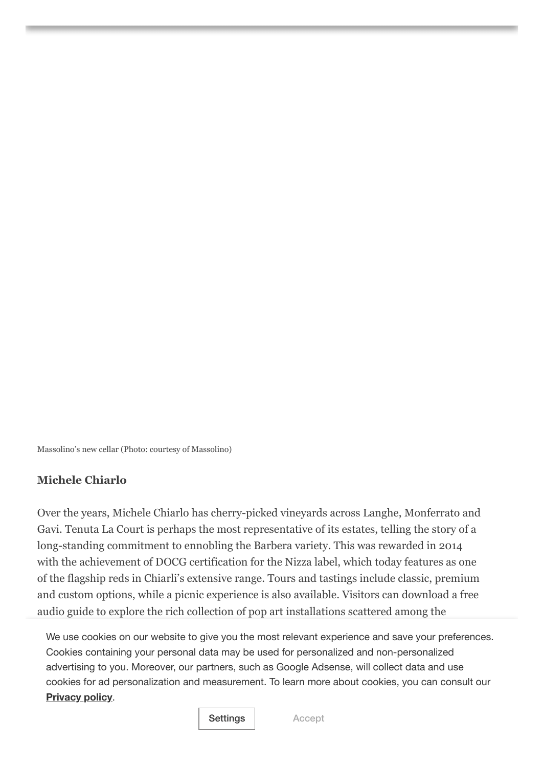Massolino's new cellar (Photo: courtesy of Massolino)

# **Michele Chiarlo**

Over the years, Michele Chiarlo has cherry-picked vineyards across Langhe, Monferrato and Gavi. Tenuta La Court is perhaps the most representative of its estates, telling the story of a long-standing commitment to ennobling the Barbera variety. This was rewarded in 2014 with the achievement of DOCG certification for the Nizza label, which today features as one of the flagship reds in Chiarli's extensive range. Tours and tastings include classic, premium and custom options, while a picnic experience is also available. Visitors can download a free audio guide to explore the rich collection of pop art installations scattered among the

vineyards. advertising to you. Moreover, our partners, such as Google Adsense, will collect data and use *V[ia Cocito, 30, 1](https://www.travelmag.com/privacy-policy/)4040 Castelnuovo Calcea AT* (Tenuta La Court) **Privacy policy**. We use cookies on our website to give you the most relevant experience and save your preferences. Cookies containing your personal data may be used for personalized and non-personalized cookies for ad personalization and measurement. To learn more about cookies, you can consult our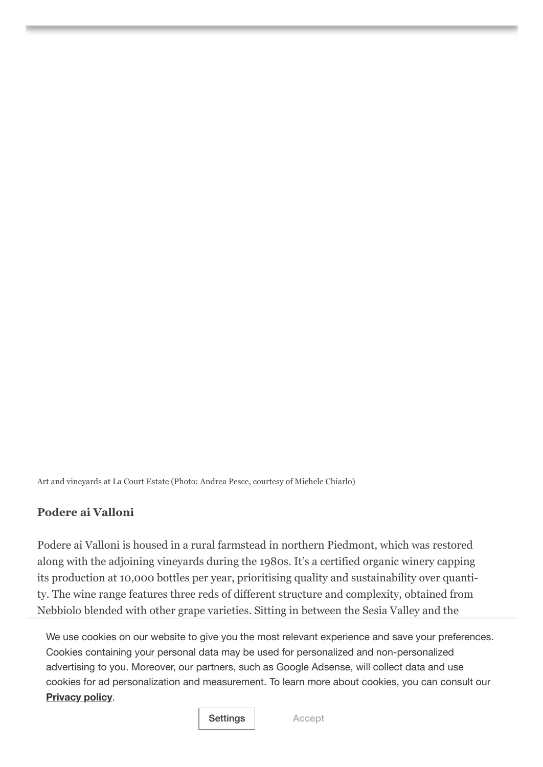Art and vineyards at La Court Estate (Photo: Andrea Pesce, courtesy of Michele Chiarlo)

# **Podere ai Valloni**

Podere ai Valloni is housed in a rural farmstead in northern Piedmont, which was restored along with the adjoining vineyards during the 1980s. It's a certified organic winery capping its production at 10,000 bottles per year, prioritising quality and sustainability over quantity. The wine range features three reds of different structure and complexity, obtained from Nebbiolo blended with other grape varieties. Sitting in between the Sesia Valley and the

We use cookies on our website to give you the most relevant experience and save your preferences. *Str. della Traversagna, 1, 28010 Boca NO* cookies for ad personalization and measurement. To learn more about cookies, you can consult our Cookies containing your personal data may be used for personalized and non-personalized advertising to you. Moreover, our partners, such as Google Adsense, will collect data and use **[Privacy](https://www.travelmag.com/privacy-policy/) policy**.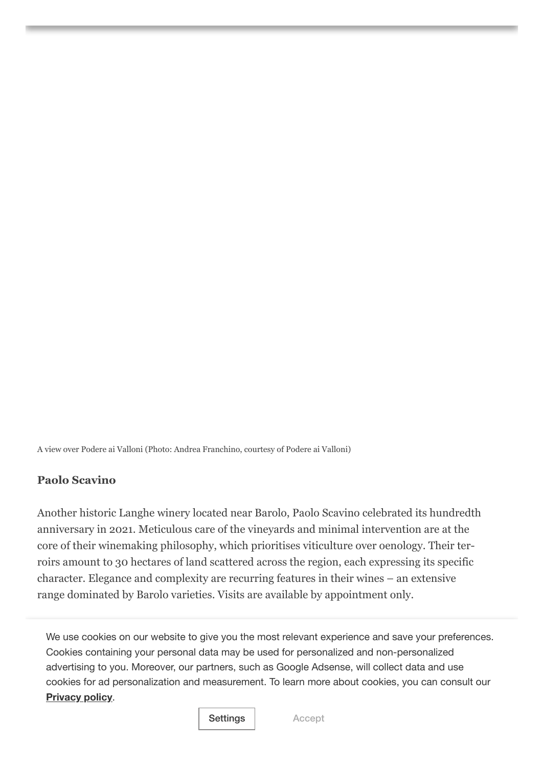A view over Podere ai Valloni (Photo: Andrea Franchino, courtesy of Podere ai Valloni)

# **Paolo Scavino**

Another historic Langhe winery located near Barolo, Paolo Scavino celebrated its hundredth anniversary in 2021. Meticulous care of the vineyards and minimal intervention are at the core of their winemaking philosophy, which prioritises viticulture over oenology. Their terroirs amount to 30 hectares of land scattered across the region, each expressing its specific character. Elegance and complexity are recurring features in their wines – an extensive range dominated by Barolo varieties. Visits are available by appointment only.

*Via Alba Barolo, 157, 12060 Castiglione Falletto CN* We use cookies on our website to give you the most relevant experience and save your preferences. Cookies containing your personal data may be used for personalized and non-personalized advertising to you. Moreover, our partners, such as Google Adsense, will collect data and use cookies for ad personalization and measurement. To learn more about cookies, you can consult our **[Privacy](https://www.travelmag.com/privacy-policy/) policy**.